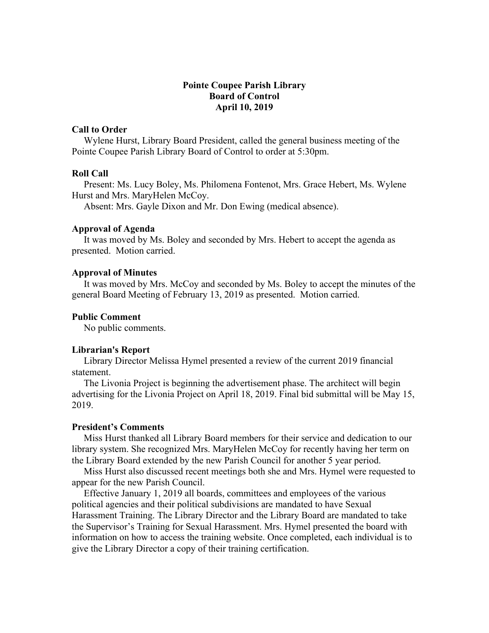# **Pointe Coupee Parish Library Board of Control April 10, 2019**

### **Call to Order**

 Wylene Hurst, Library Board President, called the general business meeting of the Pointe Coupee Parish Library Board of Control to order at 5:30pm.

#### **Roll Call**

 Present: Ms. Lucy Boley, Ms. Philomena Fontenot, Mrs. Grace Hebert, Ms. Wylene Hurst and Mrs. MaryHelen McCoy.

Absent: Mrs. Gayle Dixon and Mr. Don Ewing (medical absence).

#### **Approval of Agenda**

 It was moved by Ms. Boley and seconded by Mrs. Hebert to accept the agenda as presented. Motion carried.

## **Approval of Minutes**

 It was moved by Mrs. McCoy and seconded by Ms. Boley to accept the minutes of the general Board Meeting of February 13, 2019 as presented. Motion carried.

#### **Public Comment**

No public comments.

#### **Librarian's Report**

 Library Director Melissa Hymel presented a review of the current 2019 financial statement.

 The Livonia Project is beginning the advertisement phase. The architect will begin advertising for the Livonia Project on April 18, 2019. Final bid submittal will be May 15, 2019.

# **President's Comments**

 Miss Hurst thanked all Library Board members for their service and dedication to our library system. She recognized Mrs. MaryHelen McCoy for recently having her term on the Library Board extended by the new Parish Council for another 5 year period.

 Miss Hurst also discussed recent meetings both she and Mrs. Hymel were requested to appear for the new Parish Council.

 Effective January 1, 2019 all boards, committees and employees of the various political agencies and their political subdivisions are mandated to have Sexual Harassment Training. The Library Director and the Library Board are mandated to take the Supervisor's Training for Sexual Harassment. Mrs. Hymel presented the board with information on how to access the training website. Once completed, each individual is to give the Library Director a copy of their training certification.